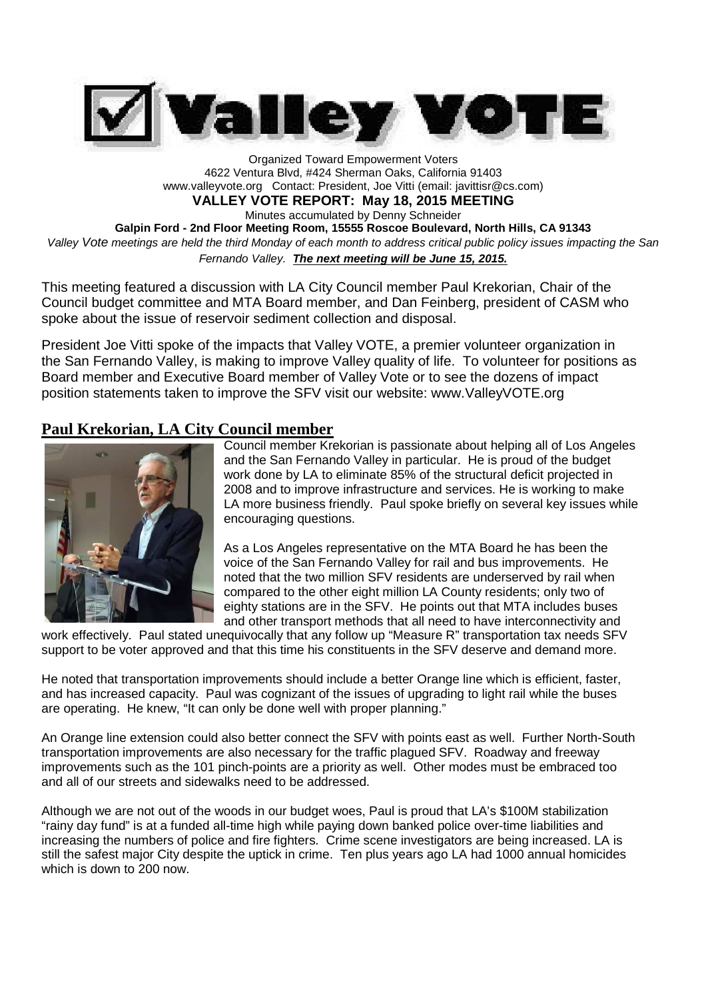

Organized Toward Empowerment Voters 4622 Ventura Blvd, #424 Sherman Oaks, California 91403 www.valleyvote.org Contact: President, Joe Vitti (email: javittisr@cs.com) **VALLEY VOTE REPORT: May 18, 2015 MEETING** Minutes accumulated by Denny Schneider **Galpin Ford - 2nd Floor Meeting Room, 15555 Roscoe Boulevard, North Hills, CA 91343** *Valley Vote meetings are held the third Monday of each month to address critical public policy issues impacting the San Fernando Valley. The next meeting will be June 15, 2015.*

This meeting featured a discussion with LA City Council member Paul Krekorian, Chair of the Council budget committee and MTA Board member, and Dan Feinberg, president of CASM who spoke about the issue of reservoir sediment collection and disposal.

President Joe Vitti spoke of the impacts that Valley VOTE, a premier volunteer organization in the San Fernando Valley, is making to improve Valley quality of life. To volunteer for positions as Board member and Executive Board member of Valley Vote or to see the dozens of impact position statements taken to improve the SFV visit our website: www.ValleyVOTE.org

## **Paul Krekorian, LA City Council member**



Council member Krekorian is passionate about helping all of Los Angeles and the San Fernando Valley in particular. He is proud of the budget work done by LA to eliminate 85% of the structural deficit projected in 2008 and to improve infrastructure and services. He is working to make LA more business friendly. Paul spoke briefly on several key issues while encouraging questions.

As a Los Angeles representative on the MTA Board he has been the voice of the San Fernando Valley for rail and bus improvements. He noted that the two million SFV residents are underserved by rail when compared to the other eight million LA County residents; only two of eighty stations are in the SFV. He points out that MTA includes buses and other transport methods that all need to have interconnectivity and

work effectively. Paul stated unequivocally that any follow up "Measure R" transportation tax needs SFV support to be voter approved and that this time his constituents in the SFV deserve and demand more.

He noted that transportation improvements should include a better Orange line which is efficient, faster, and has increased capacity. Paul was cognizant of the issues of upgrading to light rail while the buses are operating. He knew, "It can only be done well with proper planning."

An Orange line extension could also better connect the SFV with points east as well. Further North-South transportation improvements are also necessary for the traffic plagued SFV. Roadway and freeway improvements such as the 101 pinch-points are a priority as well. Other modes must be embraced too and all of our streets and sidewalks need to be addressed.

Although we are not out of the woods in our budget woes, Paul is proud that LA's \$100M stabilization "rainy day fund" is at a funded all-time high while paying down banked police over-time liabilities and increasing the numbers of police and fire fighters. Crime scene investigators are being increased. LA is still the safest major City despite the uptick in crime. Ten plus years ago LA had 1000 annual homicides which is down to 200 now.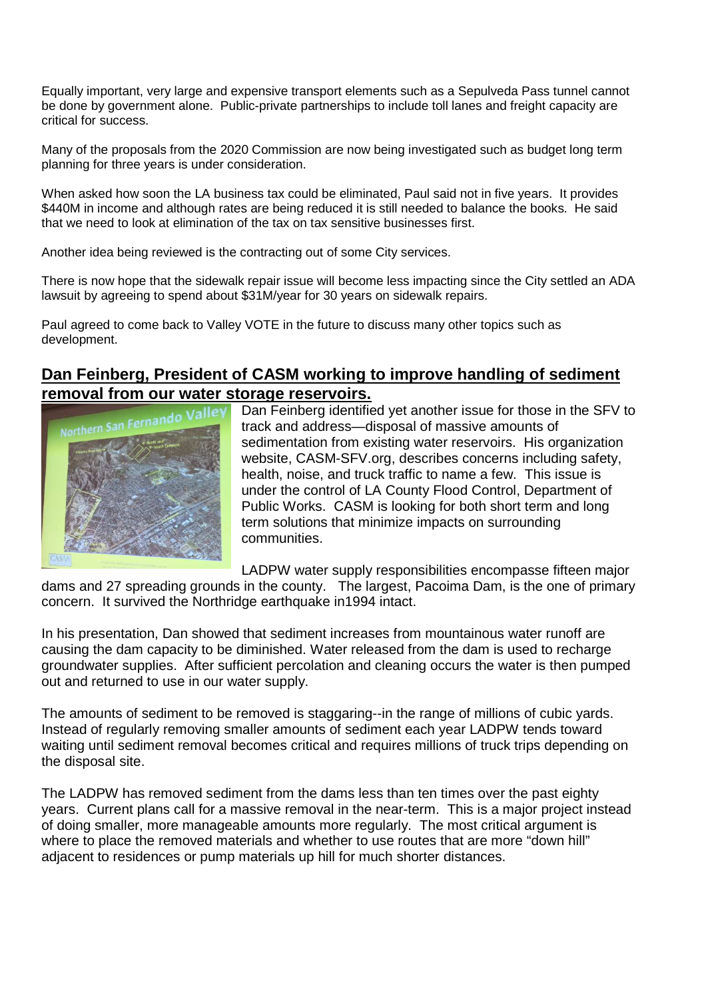Equally important, very large and expensive transport elements such as a Sepulveda Pass tunnel cannot be done by government alone. Public-private partnerships to include toll lanes and freight capacity are critical for success.

Many of the proposals from the 2020 Commission are now being investigated such as budget long term planning for three years is under consideration.

When asked how soon the LA business tax could be eliminated, Paul said not in five years. It provides \$440M in income and although rates are being reduced it is still needed to balance the books. He said that we need to look at elimination of the tax on tax sensitive businesses first.

Another idea being reviewed is the contracting out of some City services.

There is now hope that the sidewalk repair issue will become less impacting since the City settled an ADA lawsuit by agreeing to spend about \$31M/year for 30 years on sidewalk repairs.

Paul agreed to come back to Valley VOTE in the future to discuss many other topics such as development.

# **Dan Feinberg, President of CASM working to improve handling of sediment removal from our water storage reservoirs.**



Dan Feinberg identified yet another issue for those in the SFV to track and address—disposal of massive amounts of sedimentation from existing water reservoirs. His organization website, CASM-SFV.org, describes concerns including safety, health, noise, and truck traffic to name a few. This issue is under the control of LA County Flood Control, Department of Public Works. CASM is looking for both short term and long term solutions that minimize impacts on surrounding communities.

LADPW water supply responsibilities encompasse fifteen major dams and 27 spreading grounds in the county. The largest, Pacoima Dam, is the one of primary concern. It survived the Northridge earthquake in1994 intact.

In his presentation, Dan showed that sediment increases from mountainous water runoff are causing the dam capacity to be diminished. Water released from the dam is used to recharge groundwater supplies. After sufficient percolation and cleaning occurs the water is then pumped out and returned to use in our water supply.

The amounts of sediment to be removed is staggaring--in the range of millions of cubic yards. Instead of regularly removing smaller amounts of sediment each year LADPW tends toward waiting until sediment removal becomes critical and requires millions of truck trips depending on the disposal site.

The LADPW has removed sediment from the dams less than ten times over the past eighty years. Current plans call for a massive removal in the near-term. This is a major project instead of doing smaller, more manageable amounts more regularly. The most critical argument is where to place the removed materials and whether to use routes that are more "down hill" adjacent to residences or pump materials up hill for much shorter distances.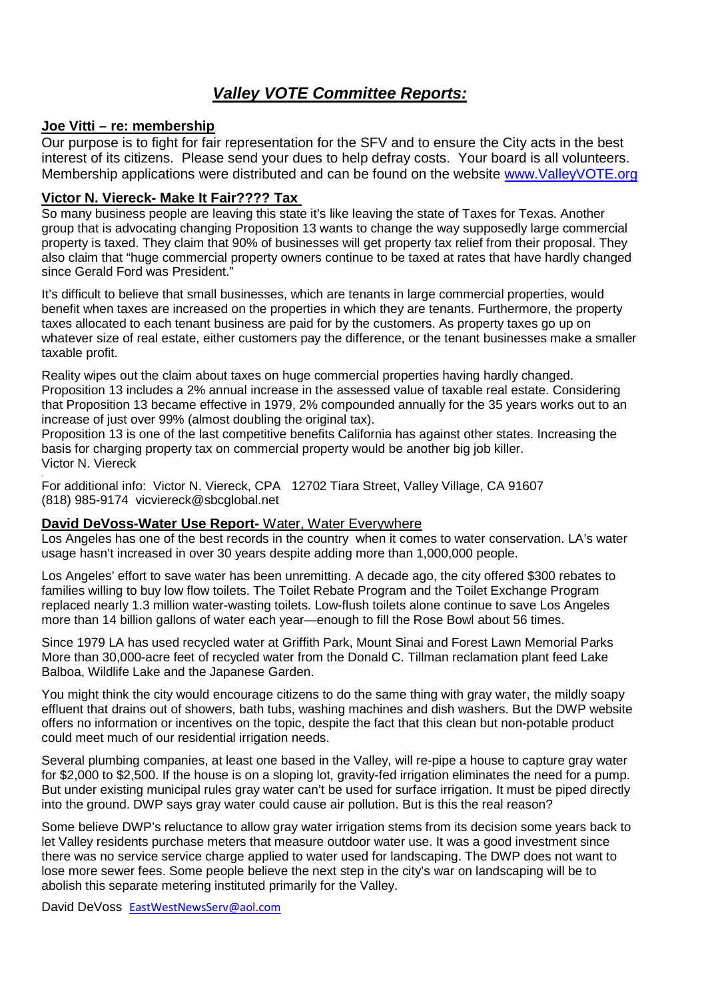# *Valley VOTE Committee Reports:*

## **Joe Vitti – re: membership**

.

Our purpose is to fight for fair representation for the SFV and to ensure the City acts in the best interest of its citizens. Please send your dues to help defray costs. Your board is all volunteers. Membership applications were distributed and can be found on the website www.ValleyVOTE.org

## **Victor N. Viereck- Make It Fair???? Tax**

So many business people are leaving this state it's like leaving the state of Taxes for Texas. Another group that is advocating changing Proposition 13 wants to change the way supposedly large commercial property is taxed. They claim that 90% of businesses will get property tax relief from their proposal. They also claim that "huge commercial property owners continue to be taxed at rates that have hardly changed since Gerald Ford was President."

It's difficult to believe that small businesses, which are tenants in large commercial properties, would benefit when taxes are increased on the properties in which they are tenants. Furthermore, the property taxes allocated to each tenant business are paid for by the customers. As property taxes go up on whatever size of real estate, either customers pay the difference, or the tenant businesses make a smaller taxable profit.

Reality wipes out the claim about taxes on huge commercial properties having hardly changed. Proposition 13 includes a 2% annual increase in the assessed value of taxable real estate. Considering that Proposition 13 became effective in 1979, 2% compounded annually for the 35 years works out to an increase of just over 99% (almost doubling the original tax).

Proposition 13 is one of the last competitive benefits California has against other states. Increasing the basis for charging property tax on commercial property would be another big job killer. Victor N. Viereck

For additional info: Victor N. Viereck, CPA 12702 Tiara Street, Valley Village, CA 91607 (818) 985-9174 vicviereck@sbcglobal.net

#### **David DeVoss-Water Use Report-** Water, Water Everywhere

Los Angeles has one of the best records in the country when it comes to water conservation. LA's water usage hasn't increased in over 30 years despite adding more than 1,000,000 people.

Los Angeles' effort to save water has been unremitting. A decade ago, the city offered \$300 rebates to families willing to buy low flow toilets. The Toilet Rebate Program and the Toilet Exchange Program replaced nearly 1.3 million water-wasting toilets. Low-flush toilets alone continue to save Los Angeles more than 14 billion gallons of water each year—enough to fill the Rose Bowl about 56 times.

Since 1979 LA has used recycled water at Griffith Park, Mount Sinai and Forest Lawn Memorial Parks More than 30,000-acre feet of recycled water from the Donald C. Tillman reclamation plant feed Lake Balboa, Wildlife Lake and the Japanese Garden.

You might think the city would encourage citizens to do the same thing with gray water, the mildly soapy effluent that drains out of showers, bath tubs, washing machines and dish washers. But the DWP website offers no information or incentives on the topic, despite the fact that this clean but non-potable product could meet much of our residential irrigation needs.

Several plumbing companies, at least one based in the Valley, will re-pipe a house to capture gray water for \$2,000 to \$2,500. If the house is on a sloping lot, gravity-fed irrigation eliminates the need for a pump. But under existing municipal rules gray water can't be used for surface irrigation. It must be piped directly into the ground. DWP says gray water could cause air pollution. But is this the real reason?

Some believe DWP's reluctance to allow gray water irrigation stems from its decision some years back to let Valley residents purchase meters that measure outdoor water use. It was a good investment since there was no service service charge applied to water used for landscaping. The DWP does not want to lose more sewer fees. Some people believe the next step in the city's war on landscaping will be to abolish this separate metering instituted primarily for the Valley.

David DeVoss EastWestNewsServ@aol.com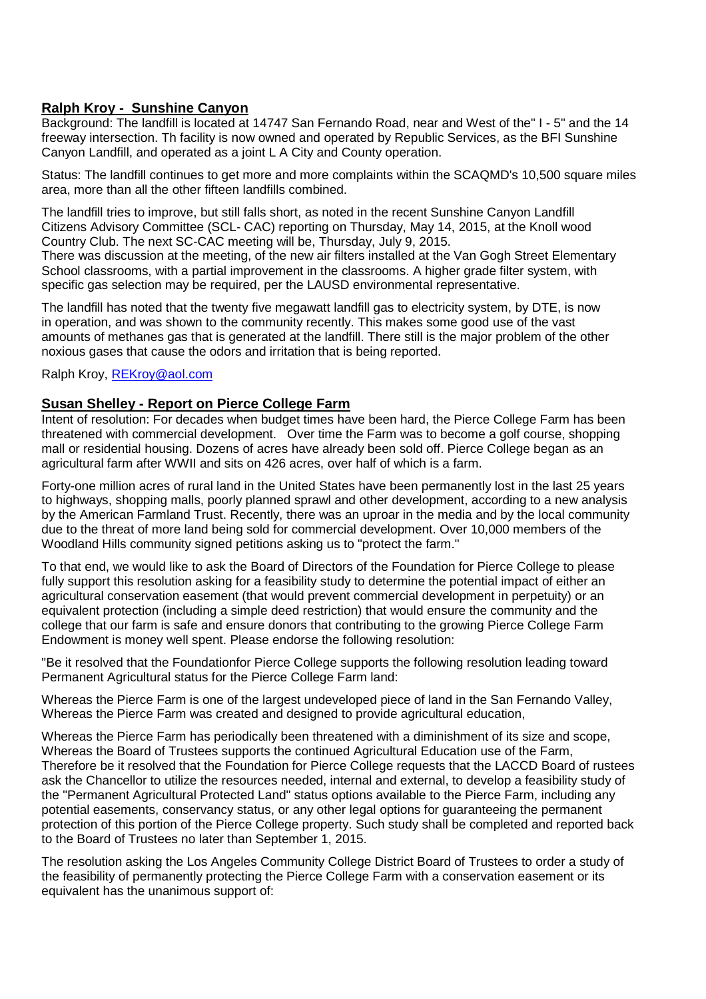## **Ralph Kroy - Sunshine Canyon**

Background: The landfill is located at 14747 San Fernando Road, near and West of the" I - 5" and the 14 freeway intersection. Th facility is now owned and operated by Republic Services, as the BFI Sunshine Canyon Landfill, and operated as a joint L A City and County operation.

Status: The landfill continues to get more and more complaints within the SCAQMD's 10,500 square miles area, more than all the other fifteen landfills combined.

The landfill tries to improve, but still falls short, as noted in the recent Sunshine Canyon Landfill Citizens Advisory Committee (SCL- CAC) reporting on Thursday, May 14, 2015, at the Knoll wood Country Club. The next SC-CAC meeting will be, Thursday, July 9, 2015. There was discussion at the meeting, of the new air filters installed at the Van Gogh Street Elementary School classrooms, with a partial improvement in the classrooms. A higher grade filter system, with

specific gas selection may be required, per the LAUSD environmental representative.

The landfill has noted that the twenty five megawatt landfill gas to electricity system, by DTE, is now in operation, and was shown to the community recently. This makes some good use of the vast amounts of methanes gas that is generated at the landfill. There still is the major problem of the other noxious gases that cause the odors and irritation that is being reported.

Ralph Kroy, REKroy@aol.com

#### **Susan Shelley - Report on Pierce College Farm**

Intent of resolution: For decades when budget times have been hard, the Pierce College Farm has been threatened with commercial development. Over time the Farm was to become a golf course, shopping mall or residential housing. Dozens of acres have already been sold off. Pierce College began as an agricultural farm after WWII and sits on 426 acres, over half of which is a farm.

Forty-one million acres of rural land in the United States have been permanently lost in the last 25 years to highways, shopping malls, poorly planned sprawl and other development, according to a new analysis by the American Farmland Trust. Recently, there was an uproar in the media and by the local community due to the threat of more land being sold for commercial development. Over 10,000 members of the Woodland Hills community signed petitions asking us to "protect the farm."

To that end, we would like to ask the Board of Directors of the Foundation for Pierce College to please fully support this resolution asking for a feasibility study to determine the potential impact of either an agricultural conservation easement (that would prevent commercial development in perpetuity) or an equivalent protection (including a simple deed restriction) that would ensure the community and the college that our farm is safe and ensure donors that contributing to the growing Pierce College Farm Endowment is money well spent. Please endorse the following resolution:

"Be it resolved that the Foundationfor Pierce College supports the following resolution leading toward Permanent Agricultural status for the Pierce College Farm land:

Whereas the Pierce Farm is one of the largest undeveloped piece of land in the San Fernando Valley, Whereas the Pierce Farm was created and designed to provide agricultural education,

Whereas the Pierce Farm has periodically been threatened with a diminishment of its size and scope, Whereas the Board of Trustees supports the continued Agricultural Education use of the Farm, Therefore be it resolved that the Foundation for Pierce College requests that the LACCD Board of rustees ask the Chancellor to utilize the resources needed, internal and external, to develop a feasibility study of the "Permanent Agricultural Protected Land" status options available to the Pierce Farm, including any potential easements, conservancy status, or any other legal options for guaranteeing the permanent protection of this portion of the Pierce College property. Such study shall be completed and reported back to the Board of Trustees no later than September 1, 2015.

The resolution asking the Los Angeles Community College District Board of Trustees to order a study of the feasibility of permanently protecting the Pierce College Farm with a conservation easement or its equivalent has the unanimous support of: